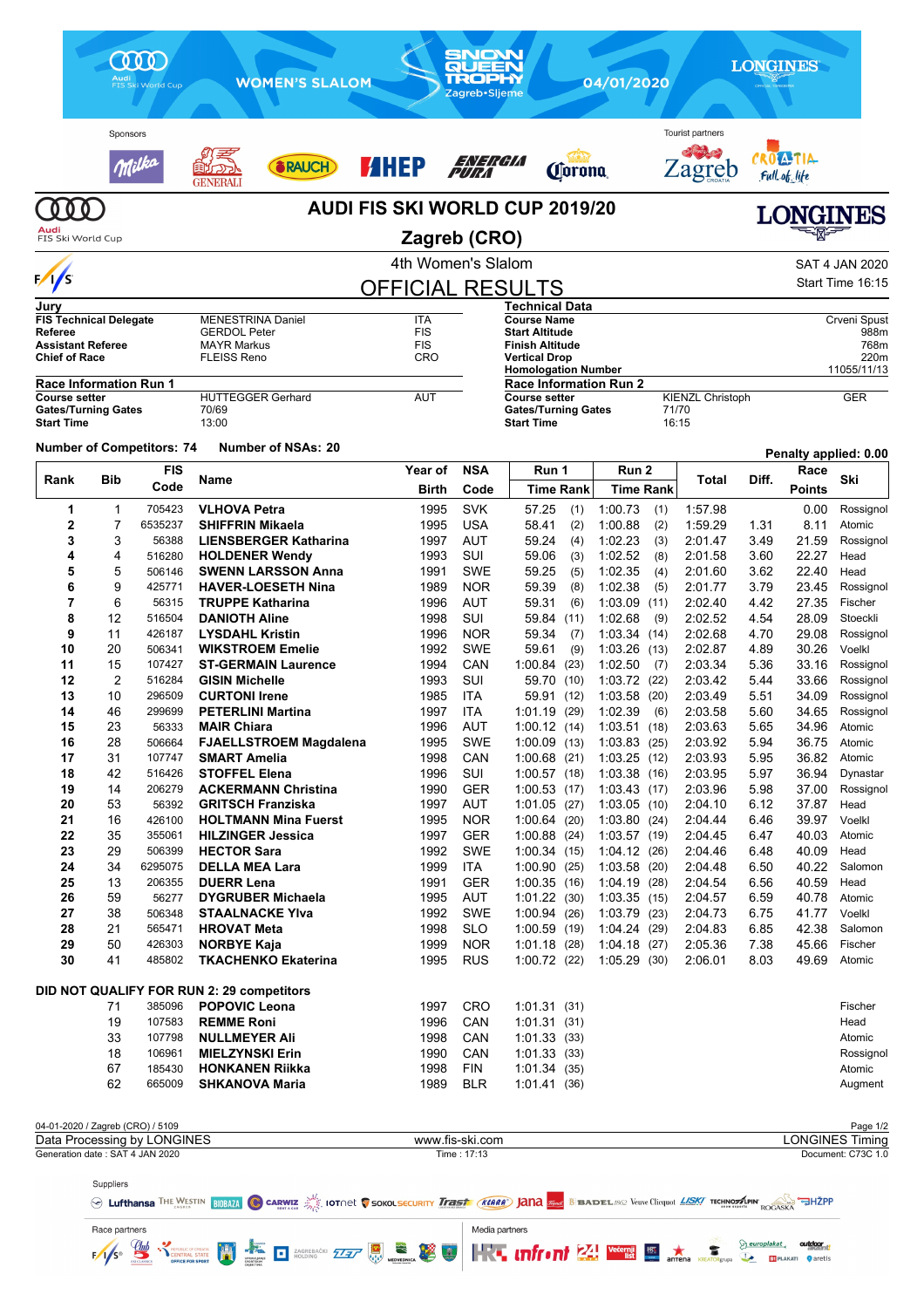|                                            | Sponsors<br>Ville                |                                                                                                                                          | RAUCH                                                  | <b>AHEP</b>              | ENERGIA                        | <b><i>Corona</i></b>                                                    |                                   | Tourist partners<br>Zagreb         |              | <b>ATIA</b><br>Full of life |                                              |
|--------------------------------------------|----------------------------------|------------------------------------------------------------------------------------------------------------------------------------------|--------------------------------------------------------|--------------------------|--------------------------------|-------------------------------------------------------------------------|-----------------------------------|------------------------------------|--------------|-----------------------------|----------------------------------------------|
| 0 O                                        |                                  |                                                                                                                                          | GENERAL                                                |                          |                                | <b>AUDI FIS SKI WORLD CUP 2019/20</b>                                   |                                   |                                    |              | <b>LONGINES</b>             |                                              |
| Audi<br>FIS Ski World Cup                  |                                  |                                                                                                                                          |                                                        | Zagreb (CRO)             |                                |                                                                         |                                   |                                    |              |                             |                                              |
|                                            |                                  |                                                                                                                                          |                                                        | 4th Women's Slalom       |                                |                                                                         |                                   |                                    |              |                             | <b>SAT 4 JAN 2020</b>                        |
| $\sqrt{s}$                                 |                                  |                                                                                                                                          |                                                        | <b>OFFICIAL RESULTS</b>  |                                |                                                                         |                                   |                                    |              |                             | Start Time 16:15                             |
| Jury                                       | <b>FIS Technical Delegate</b>    |                                                                                                                                          | <b>MENESTRINA Daniel</b>                               | ITA                      |                                | Technical Data<br><b>Course Name</b>                                    |                                   |                                    |              |                             | Crveni Spust                                 |
| <b>Referee</b><br><b>Assistant Referee</b> |                                  |                                                                                                                                          | <b>GERDOL Peter</b><br><b>MAYR Markus</b>              | <b>FIS</b><br><b>FIS</b> |                                | <b>Start Altitude</b><br>Finish Altitude                                |                                   |                                    |              |                             | 988m<br>768m                                 |
| <b>Chief of Race</b>                       |                                  |                                                                                                                                          | <b>FLEISS Reno</b>                                     | <b>CRO</b>               |                                | Vertical Drop                                                           |                                   |                                    |              |                             | 220m<br>11055/11/13                          |
|                                            | <b>Race Information Run 1</b>    |                                                                                                                                          |                                                        |                          |                                | <b>Homologation Number</b><br><b>Race Information Run 2</b>             |                                   |                                    |              |                             |                                              |
| <b>Course setter</b><br><b>Start Time</b>  | <b>Gates/Turning Gates</b>       |                                                                                                                                          | <b>HUTTEGGER Gerhard</b><br>70/69<br>13:00             | AUT                      |                                | <b>Course setter</b><br><b>Gates/Turning Gates</b><br><b>Start Time</b> |                                   | KIENZL Christoph<br>71/70<br>16:15 |              |                             | <b>GER</b>                                   |
|                                            |                                  | <b>Number of Competitors: 74</b>                                                                                                         | <b>Number of NSAs: 20</b>                              |                          |                                |                                                                         |                                   |                                    |              | Penalty applied: 0.00       |                                              |
| Rank                                       | <b>Bib</b>                       | <b>FIS</b><br>Code                                                                                                                       | Name                                                   | Year of<br>Birth         | <b>NSA</b><br>Code             | Run 1<br><b>Time Rank</b>                                               | Run 2<br><b>Time Rank</b>         | <b>Total</b>                       | Diff.        | Race<br><b>Points</b>       | Ski                                          |
| 1                                          | 1                                | 705423                                                                                                                                   | <b>VLHOVA Petra</b>                                    | 1995                     | <b>SVK</b>                     | 57.25<br>(1)                                                            | 1:00.73<br>(1)                    | 1:57.98                            |              | 0.00                        | Rossignol                                    |
| 2                                          | 7                                | 6535237                                                                                                                                  | <b>SHIFFRIN Mikaela</b>                                | 1995                     | <b>USA</b>                     | 58.41<br>(2)                                                            | 1:00.88<br>(2)                    | 1:59.29                            | 1.31         | 8.11                        | Atomic                                       |
| 3<br>4                                     | 3<br>4                           | 56388<br>516280                                                                                                                          | <b>LIENSBERGER Katharina</b><br><b>HOLDENER Wendy</b>  | 1997<br>1993             | <b>AUT</b><br>SUI              | 59.24<br>(4)<br>59.06<br>(3)                                            | 1:02.23<br>(3)<br>1:02.52<br>(8)  | 2:01.47<br>2:01.58                 | 3.49<br>3.60 | 21.59<br>22.27              | Rossignol<br>Head                            |
| 5                                          | 5                                | 506146                                                                                                                                   | <b>SWENN LARSSON Anna</b>                              | 1991                     | <b>SWE</b>                     | 59.25<br>(5)                                                            | 1:02.35<br>(4)                    | 2:01.60                            | 3.62         | 22.40                       | Head                                         |
| 6                                          | 9                                | 425771                                                                                                                                   | <b>HAVER-LOESETH Nina</b>                              | 1989                     | <b>NOR</b>                     | 59.39<br>(8)                                                            | 1:02.38<br>(5)                    | 2:01.77                            | 3.79         | 23.45                       | Rossignol                                    |
| 7                                          | 6                                | 56315                                                                                                                                    | <b>TRUPPE Katharina</b>                                | 1996                     | <b>AUT</b>                     | 59.31<br>(6)                                                            | 1:03.09<br>(11)                   | 2:02.40                            | 4.42         | 27.35                       | Fischer                                      |
| 8<br>9                                     | 12<br>11                         | 516504<br>426187                                                                                                                         | <b>DANIOTH Aline</b><br><b>LYSDAHL Kristin</b>         | 1998<br>1996             | SUI<br><b>NOR</b>              | 59.84<br>(11)<br>59.34<br>(7)                                           | 1:02.68<br>(9)<br>1.03.34(14)     | 2:02.52<br>2:02.68                 | 4.54<br>4.70 | 28.09<br>29.08              | Stoeckli<br>Rossignol                        |
| 10                                         | 20                               | 506341                                                                                                                                   | <b>WIKSTROEM Emelie</b>                                | 1992                     | <b>SWE</b>                     | 59.61<br>(9)                                                            | 1:03.26<br>(13)                   | 2:02.87                            | 4.89         | 30.26                       | Voelkl                                       |
| 11                                         | 15                               | 107427                                                                                                                                   | <b>ST-GERMAIN Laurence</b>                             | 1994                     | CAN                            | 1:00.84(23)                                                             | 1:02.50<br>(7)                    | 2:03.34                            | 5.36         | 33.16                       | Rossignol                                    |
| 12                                         | 2                                | 516284                                                                                                                                   | <b>GISIN Michelle</b>                                  | 1993                     | SUI                            | 59.70<br>(10)                                                           | 1:03.72 (22)                      | 2:03.42                            | 5.44         | 33.66                       | Rossignol                                    |
| 13<br>14                                   | 10<br>46                         | 296509<br>299699                                                                                                                         | <b>CURTONI Irene</b><br><b>PETERLINI Martina</b>       | 1985<br>1997             | <b>ITA</b><br>ITA              | 59.91<br>(12)<br>(29)<br>1:01.19                                        | 1:03.58<br>(20)<br>1:02.39<br>(6) | 2:03.49<br>2:03.58                 | 5.51<br>5.60 | 34.09<br>34.65              | Rossignol<br>Rossignol                       |
| 15                                         | 23                               | 56333                                                                                                                                    | <b>MAIR Chiara</b>                                     | 1996                     | AUT                            | 1:00.12(14)                                                             | 1:03.51(18)                       | 2:03.63                            | 5.65         | 34.96                       | Atomic                                       |
| 16                                         | 28                               | 506664                                                                                                                                   | <b>FJAELLSTROEM Magdalena</b>                          | 1995                     | SWE                            | 1:00.09(13)                                                             | 1:03.83(25)                       | 2:03.92                            | 5.94         | 36.75                       | Atomic                                       |
| 17                                         | 31                               | 107747                                                                                                                                   | SMART Amelia                                           | 1998                     | CAN                            | 1:00.68(21)                                                             | 1:03.25(12)                       | 2:03.93                            | 5.95         | 36.82                       | Atomic                                       |
| 18<br>19                                   | 42<br>14                         | 516426                                                                                                                                   | <b>STOFFEL Elena</b>                                   | 1996                     | SUI                            | 1:00.57(18)                                                             | 1:03.38(16)                       | 2:03.95                            | 5.97         | 36.94<br>37.00              | Dynastar                                     |
| 20                                         | 53                               | 206279<br>56392                                                                                                                          | <b>ACKERMANN Christina</b><br><b>GRITSCH Franziska</b> | 1990<br>1997             | <b>GER</b><br>AUT              | 1:00.53(17)<br>1:01.05(27)                                              | 1:03.43(17)<br>1:03.05(10)        | 2:03.96<br>2:04.10                 | 5.98<br>6.12 | 37.87                       | Rossignol<br>Head                            |
| 21                                         | 16                               | 426100                                                                                                                                   | <b>HOLTMANN Mina Fuerst</b>                            | 1995                     | <b>NOR</b>                     | 1:00.64(20)                                                             | 1:03.80(24)                       | 2:04.44                            | 6.46         | 39.97                       | Voelkl                                       |
| 22                                         | 35                               | 355061                                                                                                                                   | <b>HILZINGER Jessica</b>                               | 1997                     | <b>GER</b>                     | $1:00.88$ (24)                                                          | 1:03.57(19)                       | 2:04.45                            | 6.47         | 40.03                       | Atomic                                       |
| 23<br>24                                   | 29<br>34                         | 506399<br>6295075                                                                                                                        | <b>HECTOR Sara</b><br><b>DELLA MEA Lara</b>            | 1992                     | <b>SWE</b>                     | 1:00.34(15)                                                             | 1.04.12(26)<br>$1:03.58$ (20)     | 2:04.46                            | 6.48         | 40.09                       | Head                                         |
| 25                                         | 13                               | 206355                                                                                                                                   | <b>DUERR Lena</b>                                      | 1999<br>1991             | <b>ITA</b><br><b>GER</b>       | 1:00.90(25)<br>1:00.35(16)                                              | 1:04.19 (28)                      | 2:04.48<br>2:04.54                 | 6.50<br>6.56 | 40.22<br>40.59              | Salomon<br>Head                              |
| 26                                         | 59                               | 56277                                                                                                                                    | <b>DYGRUBER Michaela</b>                               | 1995                     | AUT                            | $1:01.22$ (30)                                                          | 1:03.35(15)                       | 2:04.57                            | 6.59         | 40.78                       | Atomic                                       |
| 27                                         | 38                               | 506348                                                                                                                                   | <b>STAALNACKE YIva</b>                                 | 1992                     | <b>SWE</b>                     | 1:00.94(26)                                                             | 1:03.79 (23)                      | 2:04.73                            | 6.75         | 41.77                       | Voelkl                                       |
| 28                                         | 21                               | 565471                                                                                                                                   | <b>HROVAT Meta</b>                                     | 1998                     | <b>SLO</b>                     | 1:00.59(19)                                                             | 1:04.24(29)                       | 2:04.83                            | 6.85         | 42.38                       | Salomon                                      |
| 29<br>30                                   | 50<br>41                         | 426303<br>485802                                                                                                                         | <b>NORBYE Kaja</b><br><b>TKACHENKO Ekaterina</b>       | 1999<br>1995             | <b>NOR</b><br><b>RUS</b>       | 1:01.18(28)<br>1:00.72(22)                                              | 1:04.18(27)<br>1:05.29(30)        | 2:05.36<br>2:06.01                 | 7.38<br>8.03 | 45.66<br>49.69              | Fischer<br>Atomic                            |
|                                            |                                  |                                                                                                                                          | DID NOT QUALIFY FOR RUN 2: 29 competitors              |                          |                                |                                                                         |                                   |                                    |              |                             |                                              |
|                                            | 71                               | 385096                                                                                                                                   | <b>POPOVIC Leona</b>                                   | 1997                     | CRO                            | 1:01.31(31)                                                             |                                   |                                    |              |                             | Fischer                                      |
|                                            | 19                               | 107583                                                                                                                                   | <b>REMME Roni</b>                                      | 1996                     | CAN                            | 1:01.31(31)                                                             |                                   |                                    |              |                             | Head                                         |
|                                            | 33<br>18                         | 107798<br>106961                                                                                                                         | <b>NULLMEYER Ali</b><br><b>MIELZYNSKI Erin</b>         | 1998<br>1990             | CAN<br>CAN                     | 1.01.33(33)<br>1:01.33(3)                                               |                                   |                                    |              |                             | Atomic<br>Rossignol                          |
|                                            | 67                               | 185430                                                                                                                                   | <b>HONKANEN Riikka</b>                                 | 1998                     | <b>FIN</b>                     | 1:01.34(35)                                                             |                                   |                                    |              |                             | Atomic                                       |
|                                            | 62                               | 665009                                                                                                                                   | <b>SHKANOVA Maria</b>                                  | 1989                     | <b>BLR</b>                     | 1.01.41(36)                                                             |                                   |                                    |              |                             | Augment                                      |
|                                            | 04-01-2020 / Zagreb (CRO) / 5109 |                                                                                                                                          |                                                        |                          |                                |                                                                         |                                   |                                    |              |                             | Page 1/2                                     |
| Generation date: SAT 4 JAN 2020            |                                  | Data Processing by LONGINES                                                                                                              |                                                        |                          | www.fis-ski.com<br>Time: 17:13 |                                                                         |                                   |                                    |              |                             | <b>LONGINES Timing</b><br>Document: C73C 1.0 |
|                                            |                                  |                                                                                                                                          |                                                        |                          |                                |                                                                         |                                   |                                    |              |                             |                                              |
|                                            | Suppliers                        | WE LUfthansa THE WESTIN BIDBATA C CARWIZ CONTROL TOTING TO SOKOLSECURITY Trast (KARA) JANA SIBADEL ASO Veuve Clicquot LISK/ TECHNOSTAPIN |                                                        |                          |                                |                                                                         |                                   |                                    |              |                             |                                              |